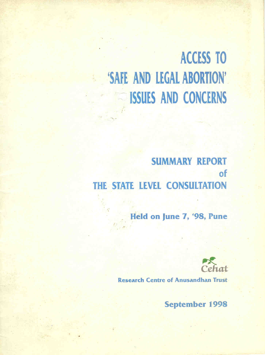# **ACCESS TO** 'SAFE AND LEGAL ABORTION' **SISSUES AND CONCERNS**

# **SUMMARY REPORT** of THE STATE LEVEL CONSULTATION

Held on June 7, '98, Pune



**Research Centre of Anusandhan Trust** 

**September 1998**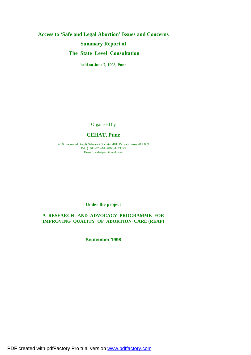# **Access to 'Safe and Legal Abortion' Issues and Concerns Summary Report of The State Level Consultation**

**held on June 7, 1998, Pune** 

Organised by

# **CEHAT, Pune**

2/10, Swanand, Aapli Sahakari Society, 481, Parvati, Pune 411 009 Tel: (+91) 020-4447866/4443225 E-mail: [cehatpun@vsnl.com](mailto:cehatpun@vsnl.com)

# **Under the project**

# **A RESEARCH AND ADVOCACY PROGRAMME FOR IMPROVING QUALITY OF ABORTION CARE (REAP)**

**September 1998** 

PDF created with pdfFactory Pro trial version [www.pdffactory.com](http://www.pdffactory.com)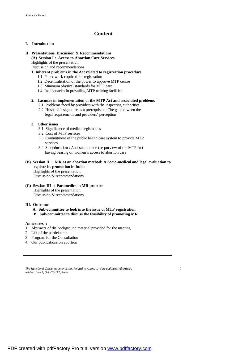# **Content**

#### **I. Introduction**

# **II. Presentations, Discussion & Recommendations**

**(A) Session I : Access to Abortion Care Services** 

Highlights of the presentation

Discussion and recommendations

#### **1. Inherent problems in the Act related to registration procedure**

- 1.1 Paper work required for registration
- 1.2 Decentralisation of the power to approve MTP centre
- 1.3 Minimum physical standards for MTP care
- 1.4 Inadequacies in prevailing MTP training facilities

#### **2. Lacunae in implementation of the MTP Act and associated problems**

- 2.1 Problems faced by providers with the inspecting authorities
- 2.2 Husband's signature as a prerequisite : The gap between the legal requirements and providers' perception

#### **3. Other issues**

- 3.1 Significance of medical legislations
- 3.2 Cost of MTP services
- 3.3 Commitment of the public health care system to provide MTP services
- 3.4 Sex education : An issue outside the purview of the MTP Act having bearing on women's access to abortion care

#### **(B) Session II : MR as an abortion method: A Socio-medical and legal evaluation to explore its promotion in India**  Highlights of the presentation Discussion & recommendations

**(C) Session III : Paramedics in MR practice**  Highlights of the presentation Discussion & recommendations

#### **III. Outcome**

 **A. Sub-committee to look into the issue of MTP registration B. Sub-committee to discuss the feasibility of promoting MR**

#### **Annexures :**

- 1. Abstracts of the background material provided for the meeting
- 2. List of the participants
- 3. Program for the Consultation
- 4. Our publications on abortion

 $\overline{2}$ 

*The State Level Consultation on Issues Related to Access to 'Safe and Legal Abortion', held on June 7, '98, CEHAT, Pune.*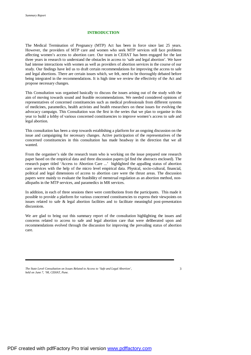#### **INTRODUCTION**

The Medical Termination of Pregnancy (MTP) Act has been in force since last 25 years. However, the providers of MTP care and women who seek MTP services still face problems affecting women's access to abortion care. Our team in CEHAT has been engaged for the last three years in research to understand the obstacles in access to 'safe and legal abortion'. We have had intense interactions with women as well as providers of abortion services in the course of our study. Our findings have led us to draft certain recommendations for improving the access to safe and legal abortions. There are certain issues which, we felt, need to be thoroughly debated before being integrated in the recommendations. It is high time we review the effectivity of the Act and propose necessary changes.

This Consultation was organised basically to discuss the issues arising out of the study with the aim of moving towards sound and feasible recommendations. We needed considered opinions of representatives of concerned constituencies such as medical professionals from different systems of medicines, paramedics, health activists and health researchers on these issues for evolving the advocacy campaign. This Consultation was the first in the series that we plan to organise in this year to build a lobby of various concerned constituencies to improve women's access to safe and legal abortion.

This consultation has been a step towards establishing a platform for an ongoing discussion on the issue and campaigning for necessary changes. Active participation of the representatives of the concerned constituencies in this consultation has made headway in the direction that we all wanted.

From the organiser's side the research team who is working on the issue prepared one research paper based on the empirical data and three discussion papers (pl find the abstracts enclosed). The research paper titled 'Access to Abortion Care ...' highlighted the appalling status of abortion care services with the help of the micro level empirical data. Physical, socio-cultural, financial, political and legal dimensions of access to abortion care were the thrust areas. The discussion papers were mainly to evaluate the feasibility of menstrual regulation as an abortion method, nonallopaths in the MTP services, and paramedics in MR services.

In addition, in each of three sessions there were contributions from the participants. This made it possible to provide a platform for various concerned constituencies to express their viewpoints on issues related to safe & legal abortion facilities and to facilitate meaningful post-presentation discussions.

We are glad to bring out this summary report of the consultation highlighting the issues and concerns related to access to safe and legal abortion care that were deliberated upon and recommendations evolved through the discussion for improving the prevailing status of abortion care.

*The State Level Consultation on Issues Related to Access to 'Safe and Legal Abortion', held on June 7, '98, CEHAT, Pune.*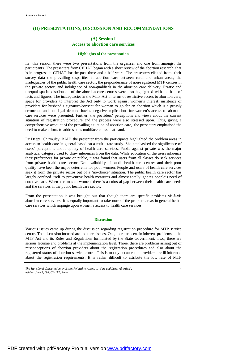# **(II) PRESENTATIONS, DISCUSSION AND RECOMMENDATIONS**

# **(A) Session I Access to abortion care services**

#### **Highlights of the presentation**

In this session there were two presentations from the organiser and one from amongst the participants. The presenters from CEHAT began with a short review of the abortion research that is in progress in CEHAT for the past three and a half years. The presenters elicited from their survey data the prevailing disparities in abortion care between rural and urban areas; the inadequacies of the public health care sector; the preponderance of non-registered MTP centres in the private sector; and indulgence of non-qualifieds in the abortion care delivery. Erratic and unequal spatial distribution of the abortion care centres were also highlighted with the help of facts and figures. The inadequacies in the MTP Act in terms of restrictive access to abortion care, space for providers to interpret the Act only to work against women's interest; insistence of providers for husband's signature/consent for woman to go for an abortion which is a grossly erroneous and non-legal demand having negative implications for women's access to abortion care services were presented. Further, the providers' perceptions and views about the current situation of registration procedure and the process were also stressed upon. Thus, giving a comprehensive account of the prevailing situation of abortion care, the presenters emphasised the need to make efforts to address this multifaceted issue at hand.

Dr Deepti Chirmuley, BAIF, the presenter from the participants highlighted the problem areas in access to health care in general based on a multi-state study. She emphasised the significance of users' perceptions about quality of health care services. Public against private was the major analytical category used to draw inferences from the data. While education of the users influence their preferences for private or public, it was found that users from all classes do seek services from private health care sector. Non-availability of public health care centres and their poor quality have been the major deterrents for poor women. People and users of health care services seek it from the private sector out of a 'no-choice' situation. The public health care sector has largely confined itself to preventive health measures and almost totally ignores people's need of curative care. When it comes to women, there is a colossal gap between their health care needs and the services in the public health care sector.

From the presentation it was brought out that though there are specific problems vis-à-vis abortion care services, it is equally important to take note of the problem areas in general health care services which impinge upon women's access to health care services.

#### **Discussion**

Various issues came up during the discussion regarding registration procedure for MTP service centre. The discussion focused around three issues. One, there are certain inherent problems in the MTP Act and its Rules and Regulations formulated by the State Government. Two, there are serious lacunae and problems at the implementation level. Three, there are problems arising out of misconceptions of abortion providers about the registration procedures and also about the registered status of abortion service centre. This is mostly because the providers are ill-informed about the registration requirements. It is rather difficult to attribute the low rate of MTP

*The State Level Consultation on Issues Related to Access to 'Safe and Legal Abortion', held on June 7, '98, CEHAT, Pune.*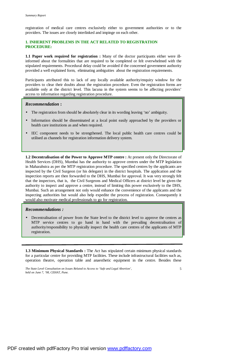registration of medical care centres exclusively either to government authorities or to the providers. The issues are closely interlinked and impinge on each other.

# **1. INHERENT PROBLEMS IN THE ACT RELATED TO REGISTRATION PROCEDURE:**

**1.1 Paper work required for registration :** Many of the doctor participants either were illinformed about the formalities that are required to be completed or felt overwhelmed with the stipulated requirements. Procedural delay could be avoided if the concerned government authority provided a well explained form, eliminating ambiguities about the registration requirements.

Participants attributed this to lack of any locally available authority/enquiry window for the providers to clear their doubts about the registration procedure. Even the registration forms are available only at the district level. This lacuna in the system seems to be affecting providers' access to information regarding registration procedure.

#### *Recommendation* **:**

- The registration from should be absolutely clear in its wording leaving 'no' ambiguity.
- Information should be disseminated at a local point easily approached by the providers or health care institutions as and when required.
- IEC component needs to be strengthened. The local public health care centres could be utilised as channels for registration information delivery system.

**1.2 Decentralisation of the Power to Approve MTP centre :** At present only the Directorate of Health Services (DHS), Mumbai has the authority to approve centres under the MTP legislation in Maharahstra as per the MTP registration procedure. The specified centres by the applicants are inspected by the Civil Surgeon (or his delegate) in the district hospitals. The application and the inspection reports are then forwarded to the DHS, Mumbai for approval. It was very strongly felt that the inspectors, that is, the Civil Surgeons and Medical Officers at district level be given the authority to inspect and approve a centre, instead of limiting this power exclusively to the DHS, Mumbai. Such an arrangement not only would enhance the convenience of the applicants and the inspecting authorities but would also help expedite the process of registration. Consequently it would also motivate medical professionals to go for registration.

#### *Recommendations :*

• Decentralisation of power from the State level to the district level to approve the centres as MTP service centres to go hand in hand with the prevailing decentralisation of authority/responsibility to physically inspect the health care centres of the applicants of MTP registration.

**1.3 Minimum Physical Standards :** The Act has stipulated certain minimum physical standards for a particular centre for providing MTP facilities. These include infrastructural facilities such as, operation theatre, operation table and anaesthetic equipment in the centre. Besides these

*The State Level Consultation on Issues Related to Access to 'Safe and Legal Abortion', held on June 7, '98, CEHAT, Pune.*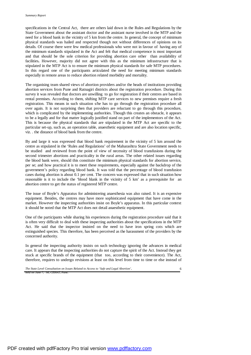specifications in the Central Act, there are others laid down in the Rules and Regulations by the State Government about the assistant doctor and the assistant nurse involved in the MTP and the need for a blood bank in the vicinity of 5 km from the centre. In general, the concept of minimum physical standards was hailed and respected though not without differences of opinions on its details. Of course there were few medical professionals who were not in favour of having any of the minimum standards stipulated in the Act and felt that medical competence is most important and that should be the sole criterion for providing abortion care other than availability of facilities**.** However, majority did not agree with this as the minimum infrastructure that is stipulated in the MTP Act is to ensure the minimum physical standards for safe MTP procedures. In this regard one of the participants articulated the need for meeting minimum standards especially in remote areas to reduce abortion related morbidity and mortality.

The organising team shared views of abortion providers and/or the heads of institutions providing abortion services from Pune and Ratnagiri districts about the registration procedure. During this survey it was revealed that doctors are unwilling to go for registration if their centres are based in rental premises. According to them, shifting MTP care services to new premises require a fresh registration. This means in such situation s/he has to go through the registration procedure all over again. It is not surprising then that providers are reluctant to go through this procedure, which is complicated by the implementing authorities. Though this creates an obstacle, it appears to be a legally and for that matter logically justified stand on part of the implementors of the Act. This is because the physical standards that are stipulated in the MTP Act are specific to the particular set-up, such as, an operation table, anaesthetic equipment and are also location specific, viz. . the distance of blood bank from the centre.

By and large it was expressed that blood bank requirement in the vicinity of 5 km around the centre as stipulated in the 'Rules and Regulations' of the Maharashtra State Government needs to be studied and reviewed from the point of view of necessity of blood transfusions during the second trimester abortions and practicality in the rural areas. The other related issues regarding the blood bank were, should this constitute the minimum physical standards for abortion service, per se; and how practical it is to meet these requirements, especially against the backdrop of the government's policy regarding blood bank. It was told that the percentage of blood transfusion cases during abortion is about 0.1 per cent. The concern was expressed that in such situation how reasonable is it to include the 'blood blank in the vicinity of 5 km' as a prerequisite for an abortion centre to get the status of registered MTP centre.

The issue of Boyle's Apparatus for administering anaesthesia was also raised. It is an expensive equipment. Besides, the centres may have more sophisticated equipment that have come in the market. However the inspecting authorities insist on Boyle's apparatus. In this particular context it should be noted that the MTP Act does not detail anaesthetic equipment.

One of the participants while sharing his experiences during the registration procedure said that it is often very difficult to deal with these inspecting authorities about the specifications in the MTP Act. He said that the inspector insisted on the need to have iron spring cots which are extinguished species. This therefore, has been perceived as the harassment of the providers by the concerned authority.

In general the inspecting authority insists on such technology ignoring the advances in medical care. It appears that the inspecting authorities do not capture the spirit of the Act. Instead they get stuck at specific brands of the equipment (that too, according to their convenience). The Act, therefore, requires to undergo revisions at least on this level from time to time or else instead of

*The State Level Consultation on Issues Related to Access to 'Safe and Legal Abortion', held on June 7, '98, CEHAT, Pune.*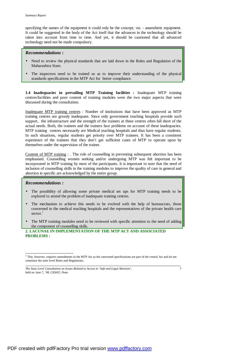specifying the names of the equipment it could only be the concept, viz. - anaesthetic equipment. It could be suggested in the body of the Act itself that the advances in the technology should be taken into account from time to time. And yet, it should be cautioned that all advanced technology need not be made compulsory.

#### *Recommendations* **:**

- Need to review the physical standards that are laid down in the Rules and Regulation of the Maharashtra State.
- The inspectors need to be trained so as to improve their understanding of the physical standards specifications in the MTP Act for better compliance.

**1.4 Inadequacies in prevailing MTP Training facilities :** Inadequate MTP training centres/facilities and poor content of training modules were the two major aspects that were discussed during the consultation.

Inadequate MTP training centres : Number of institutions that have been approved as MTP training centres are grossly inadequate. Since only government teaching hospitals provide such support, the infrastructure and the strength of the trainers at these centres often fall short of the actual needs. Both, the trainees and the trainers face problems on account of these inadequacies. MTP training centres necessarily are Medical teaching hospitals and thus have regular students. In such situations, regular students get priority over MTP trainees. It has been a consistent experience of the trainees that they don't get sufficient cases of MTP to operate upon by themselves under the supervision of the trainer.

Content of MTP training : . The role of counselling in preventing subsequent abortion has been emphasised. Counselling women seeking and/or undergoing MTP was felt important to be incorporated in MTP training by most of the participants. It is important to note that the need of inclusion of counselling skills in the training modules to improve the quality of care in general and abortion in specific are acknowledged by the entire group.

#### *Recommendations :*

- The possibility of allowing some private medical set ups for MTP training needs to be explored to attend the problem of inadequate training centres.
- The mechanism to achieve this needs to be evolved with the help of bureaucrats, those concerned in the medical teaching hospitals and the representatives of the private health care sector.<sup>1</sup>

• The MTP training modules need to be reviewed with specific attention to the need of adding the component of counselling skills.

**2. LACUNAE IN IMPLEMENTATION OF THE MTP ACT AND ASSOCIATED PROBLEMS :**

<sup>&</sup>lt;sup>1</sup> This, however, requires amendments in the MTP Act as the concerned specifications are part of the central Act and do not constitute the state level Rules and Regulations.

*The State Level Consultation on Issues Related to Access to 'Safe and Legal Abortion', held on June 7, '98, CEHAT, Pune.*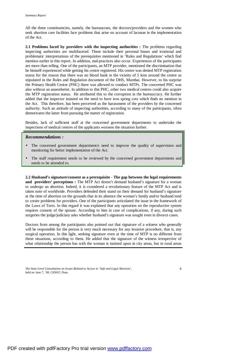All the three constituencies, namely, the bureaucrats, the doctors/providers and the women who seek abortion care facilities face problems that arise on account of lacunae in the implementation of the Act.

**2.1 Problems faced by providers with the inspecting authorities :** The problems regarding inspecting authorities are multifaceted. These include their personal biases and irrational and problematic interpretations of the prerequisites mentioned in 'Rules and Regulations' which find mention earlier in this report. In addition, mal-practices also occur. Experiences of the participants are more than telling. One of the participants, an MTP provider, mentioned the discrimination that he himself experienced while getting his centre registered. His centre was denied MTP registration status for the reason that there was no blood bank in the vicinity of 5 kms around the centre as stipulated in the Rules and Regulation document of the DHS, Mumbai. However, to his surprise the Primary Health Centre (PHC) there was allowed to conduct MTPs. The concerned PHC was also without an anaesthetist. In addition to this PHC, other two medical centres could also acquire the MTP registration status. He attributed this to the corruption in the bureaucracy. He further added that the inspector insisted on the need to have iron spring cots which finds no mention in the Act. This therefore, has been perceived as the harassment of the providers by the concerned authority. Such an attitude of inspecting authorities, according to many of the participants, often demotivates the latter from pursuing the matter of registration.

Besides, lack of sufficient staff at the concerned government departments to undertake the inspections of medical centres of the applicants worsens the situation further.

#### *Recommendations :*

- The concerned government department/s need to improve the quality of supervision and monitoring for better implementation of the Act.
- The staff requirement needs to be reviewed by the concerned government departments and needs to be attended to.

**2.2 Husband's signature/consent as a prerequisite** - **The gap between the legal requirements and providers' perceptions :** The MTP Act doesn't demand husband's signature for a woman to undergo an abortion. Indeed, it is considered a revolutionary feature of the MTP Act and is taken note of worldwide. Providers defended their stand on their demand for husband's signature at the time of abortion on the grounds that in its absence the woman's family and/or husband tend to create problems for providers. One of the participants articulated the issue in the framework of the Laws of Torts. In this regard it was explained that any operation on the reproductive system requires consent of the spouse. According to him in case of complications, if any, during such surgeries the judge/judiciary asks whether husband's signature was sought even in divorce cases.

Doctors from among the participants also pointed out that signature of a witness who generally will be responsible for the person is very much necessary for any invasive procedure, that is, any surgical operation. In this light, seeking signature even at the time of MTP is no different from these situations, according to them. He added that the signature of the witness irrespective of what relationship the person has with the woman is insisted upon in city areas, but in rural areas

*The State Level Consultation on Issues Related to Access to 'Safe and Legal Abortion', held on June 7, '98, CEHAT, Pune.*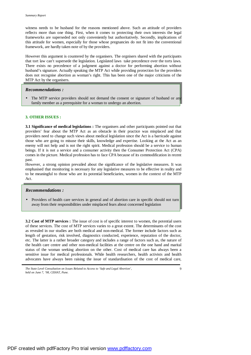witness needs to be husband for the reasons mentioned above. Such an attitude of providers reflects more than one thing. First, when it comes to protecting their own interests the legal frameworks are superseded not only conveniently but authoritatively. Secondly, implications of this attitude for women, especially for those whose pregnancies do not fit into the conventional framework, are hardly taken note of by the providers.

However this argument is countered by the organisers. The orgnisers shared with the participants that tort law can't supersede the legislation. Legislated laws take precedence over the torts laws. There exists no precedence of a judgment against a doctor for performing abortion without husband's signature. Actually speaking the MTP Act while providing protection for the providers does not recognise abortion as woman's right. This has been one of the major criticisms of the MTP Act by the organisers.

#### *Recommendations :*

The MTP service providers should not demand the consent or signature of husband or any family member as a prerequisite for a woman to undergo an abortion.

#### **3. OTHER ISSUES :**

**3.1 Significance of medical legislations :** The organisers and other participants pointed out that providers' fear about the MTP Act as an obstacle in their practice was misplaced and that providers need to change such views about medical legislation since the Act is a barricade against those who are going to misuse their skills, knowledge and expertise. Looking at the Act as an enemy will not help and is not the right spirit. Medical profession should be a service to human beings. If it is not a service and a consumer activity then the Consumer Protection Act (CPA) comes in the picture. Medical profession has to face CPA because of its commodification in recent past.

However, a strong opinion prevailed about the significance of the legislative measures. It was emphasised that monitoring is necessary for any legislative measures to be effective in reality and to be meaningful to those who are its potential beneficiaries, women in the context of the MTP Act.

#### *Recommendations :*

• Providers of health care services in general and of abortion care in specific should not turn away from their responsibilities under misplaced fears about concerned legislation

**3.2 Cost of MTP services :** The issue of cost is of specific interest to women, the potential users of these services. The cost of MTP services varies to a great extent. The determinants of the cost as revealed in our studies are both medical and non-medical. The former include factors such as length of gestation, risk involved, diagnostics conducted, experience, reputation of the doctor, etc. The latter is a rather broader category and includes a range of factors such as, the nature of the health care centre and other non-medical facilities at the centre on the one hand and marital status of the woman seeking abortion on the other. Cost of medical care has always been a sensitive issue for medical professionals. While health researchers, health activists and health advocates have always been raising the issue of standardisation of the cost of medical care,

 $\overline{Q}$ 

*The State Level Consultation on Issues Related to Access to 'Safe and Legal Abortion', held on June 7, '98, CEHAT, Pune.*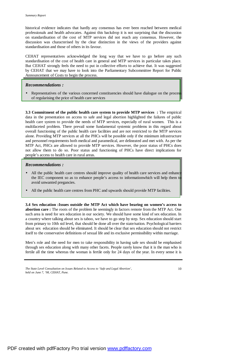historical evidence indicates that hardly any consensus has ever been reached between medical professionals and health advocates. Against this backdrop it is not surprising that the discussion on standardisation of the cost of MTP services did not reach any consensus. However, the discussion was characterised by the clear distinction in the views of the providers against standardisation and those of others in its favour.

CEHAT representatives acknowledged the long way that we have to go before any such standardisation of the cost of health care in general and MTP services in particular takes place. But CEHAT strongly feels the need to put in collective efforts to achieve that. It was suggested by CEHAT that we may have to look into the Parliamentary Subcommittee Report for Public Announcement of Costs to begin the process.

#### *Recommendations :*

Representatives of the various concerned constituencies should have dialogue on the proces of regularising the price of health care services

**3.3 Commitment of the public health care system to provide MTP services :** The empirical data in the presentation on access to safe and legal abortion highlighted the failures of public health care system to provide the needs of MTP services, especially of rural women. This is a multifaceted problem. There prevail some fundamental systemic problems in this regard about overall functioning of the public health care facilities and are not restricted to the MTP services alone. Providing MTP services at all the PHCs will be possible only if the minimum infrastructure and personnel requirements both medical and paramedical, are delineated and met with. As per the MTP Act, PHCs are allowed to provide MTP services. However, the poor status of PHCs does not allow them to do so. Poor status and functioning of PHCs have direct implications for people's access to health care in rural areas.

#### *Recommendations :*

- All the public health care centres should improve quality of health care services and enhance the IEC component so as to enhance people's access to informationwhich will help them to avoid unwanted pregancies.
- All the public health care centres from PHC and upwards should provide MTP facilities.

**3.4 Sex education :Issues outside the MTP Act which have bearing on women's access to abortion care :** The roots of the problem lie seemingly in factors remote from the MTP Act. One such area is need for sex education in our society. We should have some kind of sex education. In a country where talking about sex is taboo, we have to go step by step. Sex education should start from primary to 10th std level, that should be done all over the state/nation. Psychological barriers about sex education should be eliminated. It should be clear that sex education should not restrict itself to the conservative definitions of sexual life and its exclusive permissibility within marriage.

Men's role and the need for men to take responsibility in having safe sex should be emphasised through sex education along with many other facets. People rarely know that it is the man who is fertile all the time whereas the woman is fertile only for 24 days of the year. In every sense it is

*The State Level Consultation on Issues Related to Access to 'Safe and Legal Abortion', held on June 7, '98, CEHAT, Pune.*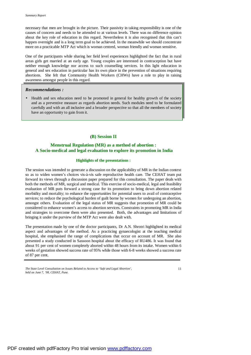necessary that men are brought in the picture. Their passivity in taking responsibility is one of the causes of concern and needs to be attended to at various levels. There was no difference opinion about the key role of education in this regard. Nevertheless it is also recognised that this can't happen overnight and is a long term goal to be achieved. In the meanwhile we should concentrate more on a practicable MTP Act which is woman centred, woman friendly and woman sensitive.

One of the participants while sharing her field level experiences highlighted the fact that in rural areas girls get married at an early age. Young couples are interested in contraception but have neither enough knowledge nor access to such counselling services. In this light education in general and sex education in particular has its own place in the prevention of situations requiring abortions. She felt that Community Health Workers (CHWs) have a role to play in raising awareness amongst people in this regard.

#### *Recommendations :*

• Health and sex education need to be promoted in general for healthy growth of the society and as a preventive measure as regards abortion needs. Such modules need to be formulated carefully and with an all inclusive and a broader perspective so that all the members of society have an opportunity to gain from it.

# **(B) Session II**

# **Menstrual Regulation (MR) as a method of abortion : A Socio-medical and legal evaluation to explore its promotion in India**

#### **Highlights of the presentations :**

The session was intended to generate a discussion on the applicability of MR in the Indian context so as to widen women's choices vis-à-vis safe reproductive health care. The CEHAT team put forward its views through a discussion paper prepared for this consultation. The paper deals with both the methods of MR, surgical and medical. This exercise of socio-medical, legal and feasibility evaluation of MR puts forward a strong case for its promotion to bring down abortion related morbidity and mortality; to enhance the opportunities for potential users to avail of contraceptive services; to reduce the psychological burden of guilt borne by women for undergoing an abortion, amongst others. Evaluation of the legal status of MR suggests that promotion of MR could be considered to enhance women's access to abortion services. Constraints in promoting MR in India and strategies to overcome them were also presented. Both, the advantages and limitations of bringing it under the purview of the MTP Act were also dealt with.

The presentation made by one of the doctor participants, Dr A.N. Shrotri highlighted its medical aspect and advantages of the method. As a practicing gynaecologist at the teaching medical hospital, she emphasised the range of complications that occur on account of MR. She also presented a study conducted in Sassoon hospital about the efficacy of RU486. It was found that about 91 per cent of women completely aborted within 48 hours from its intake. Women within 6 weeks of gestation showed success rate of 95% while those with 6-8 weeks showed a success rate of 87 per cent.

*The State Level Consultation on Issues Related to Access to 'Safe and Legal Abortion', held on June 7, '98, CEHAT, Pune.*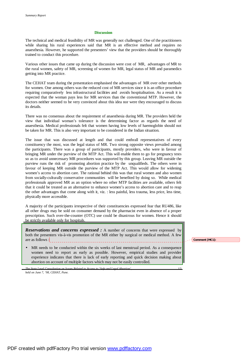#### **Discussion**

The technical and medical feasibility of MR was generally not challenged. One of the practitioners while sharing his rural experiences said that MR is an effective method and requires no anaesthesia. However, he supported the presenters' view that the providers should be thoroughly trained to conduct this procedure.

Various other issues that came up during the discussion were cost of MR, advantages of MR to the rural women, safety of MR, screening of women for MR, legal status of MR and paramedics getting into MR practice.

The CEHAT team during the presentation emphasised the advantages of MR over other methods for women. One among others was the reduced cost of MR services since it is an office procedure requiring comparatively less infrastructural facilities and avoids hospitalisation. As a result it is expected that the woman pays less for MR services than the conventional MTP. However, the doctors neither seemed to be very convinced about this idea nor were they encouraged to discuss its details.

There was no consensus about the requirement of anaesthesia during MR. The providers held the view that individual woman's tolerance is the determining factor as regards the need of anaesthesia. Medical professionals felt that women having low levels of haemoglobin should not be taken for MR. This is also very important to be considered in the Indian situation.

The issue that was discussed at length and that could enthrall representatives of every constituency the most, was the legal status of MR. Two strong opposite views prevailed among the participants. There was a group of participants, mostly providers, who were in favour of bringing MR under the purview of the MTP Act. This will enable them to go for pregnancy tests so as to avoid unnecessary MR procedures was supported by this group. Leaving MR outside the purview runs the risk of promoting abortion practice by the unqualifieds. The others were in favour of keeping MR outside the purview of the MTP Act. This would allow for widening women's access to abortion care. The rational behind this was that rural women and also women from socially-culturally conservative communities will be benefited by doing so. While medical professionals approved MR as an option where no other MTP facilities are available, others felt that it could be treated as an alternative to enhance women's access to abortion care and to reap the other advantages that come along with it, viz. : less painful, less trauma, less price, less time, physically more accessible.

A majority of the participants irrespective of their constituencies expressed fear that RU486, like all other drugs may be sold on consumer demand by the pharmacist even in absence of a proper prescription. Such over-the-counter (OTC) use could be disastrous for women. Hence it should be strictly available only for hospitals.

*Reservations and concerns expressed :* A number of concerns that were expressed by both the presenters vis-à-vis promotion of the MR either by surgical or medical method. A few are as follows :

MR needs to be conducted within the six weeks of last menstrual period. As a consequence women need to report as early as possible. However, empirical studies and provider experience indicates that there is lack of early reporting and quick decision making about abortion on account of multiple factors which may not be easily controlled.

*The State Level Consultation on Issues Related to Access to 'Safe and Legal Abortion', held on June 7, '98, CEHAT, Pune.* 

**Comment [MC1]:**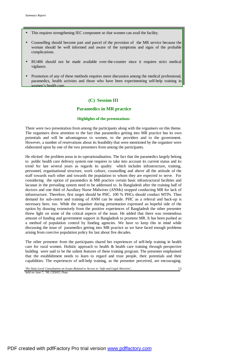- This requires strengthening IEC component so that women can avail the facility.
- Counselling should become part and parcel of the provision of the MR service because the woman should be well informed and aware of the symptoms and signs of the probable complications.
- RU486 should not be made available over-the-counter since it requires strict medical vigilance.
- Promotion of any of these methods requires more discussion among the medical professional, paramedics, health activists and those who have been experimenting self-help training in women's health care.

# **(C) Session III**

#### **Paramedics in MR practice**

#### **Highlights of the presentations**

There were two presentation from among the participants along with the organisers on this theme. The organisers drew attention to the fact that paramedics getting into MR practice has its own potentials and will be advantageous to women, to the providers and to the government. However, a number of reservations about its feasibility that were mentioned by the organiser were elaborated upon by one of the two presenters from among the participants.

He elicited the problem areas in its operationalisation. The fact that the paramedics largely belong to public health care delivery system one requires to take into account its current status and its trend for last several years as regards its quality which includes infrastructure, training, personnel, organisational structure, work culture, counselling and above all the attitude of the staff towards each other and towards the population to whom they are expected to serve. For considering the option of paramedics in MR practice certain basic infrastructural facilities and lacunae in the prevailing system need to be addressed to. In Bangladesh after the training half of doctors and one third of Auxiliary Nurse Midwives (ANMs) stopped conducting MR for lack of infrastructure. Therefore, first target should be PHC. 100 % PHCs should conduct MTPs. Then demand for sub-centre and training of ANM can be made. PHC as a referral and back-up is necessary here, too. While the organiser during presentation expressed an hopeful side of the option by drawing extensively from the positive experiences of Bangladesh the other presenter threw light on some of the critical aspects of the issue. He added that there was tremendous amount of funding and government support in Bangladesh to promote MR. It has been pushed as a method of population control by funding agencies. We have to keep this in mind while discussing the issue of paramedics getting into MR practice as we have faced enough problems arising from coercive population policy for last about five decades.

The other presenter from the participants shared her experiences of self-help training in health care for rural women. Holistic approach to health  $\&$  health care training through perspective building were said to be the salient features of these training program. The presenter emphasised that the establishment needs to learn to regard and trust people, their potentials and their capabilities. The experiences of self-help training, as the presenter perceived, are encouraging.

*The State Level Consultation on Issues Related to Access to 'Safe and Legal Abortion', held on June 7, '98, CEHAT, Pune.*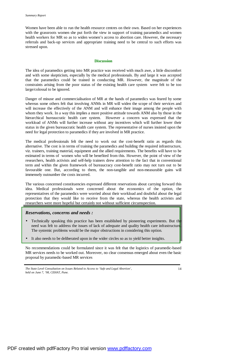Women have been able to run the health resource centres on their own. Based on her experiences with the grassroots women she put forth the view in support of training paramedics and women health workers for MR so as to widen women's access to abortion care. However, the necessary referrals and back-up services and appropriate training need to be central to such efforts was stressed upon.

#### **Discussion**

The idea of paramedics getting into MR practice was received with much awe, a little discomfort and with some skepticism, especially by the medical professionals. By and large it was accepted that the paramedics could be trained in conducting MR. However, the magnitude of the constraints arising from the poor status of the existing health care system were felt to be too large/colossal to be ignored.

Danger of misuse and commercialisation of MR at the hands of paramedics was feared by some whereas some others felt that involving ANMs in MR will widen the scope of their services and will increase the effectively of the ANM and will enhance their image among the people with whom they work. In a way this implies a more positive attitude towards ANM also by those in the hierarchical bureaucratic health care system. However a concern was expressed that the workload of ANMs will further increase without any incentives which will further lower their status in the given bureaucratic health care system. The representative of nurses insisted upon the need for legal protection to paramedics if they are involved in MR practice.

The medical professionals felt the need to work out the cost-benefit ratio as regards this alternative. The cost is in terms of training the paramedics and building the required infrastructure, viz. trainers, training material, equipment and the allied requirements. The benefits will have to be estimated in terms of women who will be benefited from this. However, the point of view of the researchers, health activists and self-help trainers drew attention to the fact that in conventional term and within the given framework of bureaucracy cost-benefit ratio may not turn out to be favourable one. But, according to them, the non-tangible and non-measurable gains will immensely outnumber the costs incurred.

The various concerned constituencies expressed different reservations about carrying forward this idea. Medical professionals were concerned about the economics of the option, the representatives of the paramedics were worried about their workload and doubtful about the legal protection that they would like to receive from the state, whereas the health activists and researchers were more hopeful but certainly not without sufficient circumspection.

#### *Reservations, concerns and needs :*

- Technically speaking this practice has been established by pioneering experiments. But the need was felt to address the issues of lack of adequate and quality health care infrastructure. The systemic problems would be the major obstructions in considering this option.
- It also needs to be deliberated upon in the wider circles so as to yield better insights.

No recommendations could be formulated since it was felt that the logistics of paramedic-based MR services needs to be worked out. Moreover, no clear consensus emerged about even the basic proposal by paramedic-based MR services

*The State Level Consultation on Issues Related to Access to 'Safe and Legal Abortion', held on June 7, '98, CEHAT, Pune.*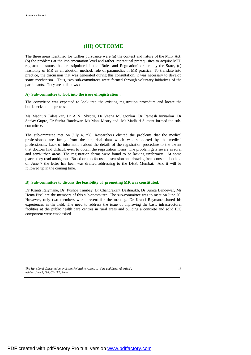# **(III) OUTCOME**

The three areas identified for further pursuance were (a) the content and nature of the MTP Act, (b) the problems at the implementation level and rather impractical prerequisites to acquire MTP registration status that are stipulated in the 'Rules and Regulation' drafted by the State, (c) feasibility of MR as an abortion method, role of paramedics in MR practice. To translate into practice, the discussion that was generated during this consultation, it was necessary to develop some mechanism. Thus, two sub-committees were formed through voluntary initiatives of the participants. They are as follows :

#### **A) Sub-committee to look into the issue of registration :**

The committee was expected to look into the existing registration procedure and locate the bottlenecks in the process.

Ms Madhuri Talwalkar, Dr A N Shrotri, Dr Veena Mulgaonkar, Dr Ramesh Junnarkar, Dr Sanjay Gupte, Dr Sunita Bandewar, Ms Mani Mistry and Ms Madhuri Sumant formed the subcommittee.

The sub-cmmittee met on July 4, '98. Researchers elicited the problems that the medical professionals are facing from the empirical data which was supported by the medical professionals. Lack of information about the details of the registration procedure to the extent that doctors find difficult even to obtain the registration forms. The problem gets severe in rural and semi-urban areas. The registration forms were found to be lacking uniformity. At some places they read ambiguous. Based on this focused discussion and drawing from consultation held on June 7 the letter has been was drafted addressing to the DHS, Mumbai. And it will be followed up in the coming time.

#### **B) Sub-committee to discuss the feasibility of promoting MR was constituted**.

Dr Kranti Raiymane, Dr Pushpa Tambay, Dr Chandrakant Deshmukh, Dr Sunita Bandewar, Ms Hema Pisal are the members of this sub-committee. The sub-committee was to meet on June 20. However, only two members were present for the meeting. Dr Kranti Raymane shared his experiences in the field. The need to address the issue of improving the basic infrastructural facilities at the public health care centres in rural areas and building a concrete and solid IEC component were emphasised.

*The State Level Consultation on Issues Related to Access to 'Safe and Legal Abortion', held on June 7, '98, CEHAT, Pune.*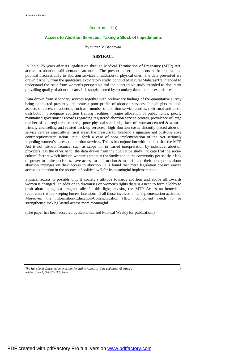#### Annexure - 1(a)

#### **Access to Abortion Services : Taking a Stock of Impediments**

#### by Sunita V Bandewar

#### **ABSTRACT**

In India, 25 years after its legalisation through Medical Termination of Pregnancy (MTP) Act, access to abortion still demands attention. The present paper documents socio-cultural and political inaccessibility to abortion services in addition to physical ones. The data presented are drawn partially from the qualitative exploratory study conducted in rural Maharashtra intended to understand the issue from women's perspective and the quantitative study intended to document prevailing quality of abortion care. It is supplemented by secondary data and our experiences.

Data drawn from secondary sources together with preliminary findings of the quantitative survey being conducted presently delineate a poor profile of abortion services. It highlights multiple aspects of access to abortion, such as: number of abortion service centres; their rural and urban distribution, inadequate abortion training facilities, meagre allocation of public funds, poorly maintained government records regarding registered abortion service centres, prevalence of large number of non-registered centres, poor physical standards, lack of woman centred & woman friendly counselling and related back-up services, high abortion costs, distantly placed abortion service centres especially in rural areas, the pressure for husband's signature and post-operative contraceptions/sterilisation put forth a case of poor implementation of the Act seriously impeding women's access to abortion services. This is in conjunction with the fact that the MTP Act is not without lacunae, such as scope for its varied interpretation by individual abortion providers. On the other hand, the data drawn from the qualitative study indicate that the sociocultural factors which include women's status in the family and in the community per se, their lack of power to make decisions, have access to information & material and their perceptions about abortion impinges on their access to abortion. It is found that mere legislation doesn't ensure access to abortion in the absence of political will for its meaningful implementation.

Physical access is possible only if society's attitude towards abortion and above all towards women is changed. In addition to discourses on women's rights there is a need to form a lobby to push abortion agenda pragmatically. In this light, revising the MTP Act is an immediate requirement while keeping honest intentions of all those involved in its implementation activated. Moreover, the Information-Education-Communication (IEC) component needs to be strengthened making lawful access more meaningful.

(The paper has been accepted by Economic and Political Weekly for publication.)

*The State Level Consultation on Issues Related to Access to 'Safe and Legal Abortion', held on June 7, '98, CEHAT, Pune.*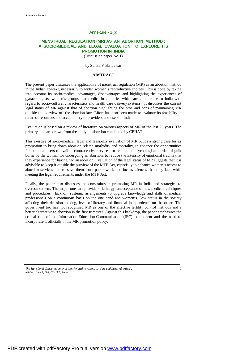#### Annexure - 1(b)

#### **MENSTRUAL REGULATION (MR) AS AN ABORTION METHOD : A SOCIO-MEDICAL AND LEGAL EVALUATION TO EXPLORE ITS PROMOTION IN INDIA**

(Discussion paper No 1)

by Sunita V Bandewar

#### **ABSTRACT**

The present paper discusses the applicability of menstrual regulation (MR) as an abortion method in the Indian context, necessarily to widen women's reproductive choices. This is done by taking into account its socio-medical advantages, disadvantages and highlighting the experiences of gynaecologists, women's groups, paramedics in countries which are comparable to India with regard to socio-cultural characteristics and health care delivery systems. It discusses the current legal status of MR against that of abortion highlighting the pros and cons of maintaining MR outside the purview of the abortion law. Effort has also been made to evaluate its feasibility in terms of resources and acceptability to providers and users in India.

Evaluation is based on a review of literature on various aspects of MR of the last 25 years. The primary data are drawn from the study on abortion conducted by CEHAT.

This exercise of socio-medical, legal and feasibility evaluation of MR builds a strong case for its promotion to bring down abortion related morbidity and mortality, to enhance the opportunities for potential users to avail of contraceptive services, to reduce the psychological burden of guilt borne by the women for undergoing an abortion, to reduce the intensity of emotional trauma that they experience for having had an abortion. Evaluation of the legal status of MR suggests that it is advisable to keep it outside the purview of the MTP Act, especially to enhance women's access to abortion services and to save them from paper work and inconveniences that they face while meeting the legal requirements under the MTP Act.

Finally, the paper also discusses the constraints in promoting MR in India and strategies to overcome them. The major ones are providers' lethargy, unacceptance of new medical techniques and procedures, lack of systemic arrangements to upgrade knowledge and skills of medical professionals on a continuous basis on the one hand and women's low status in the society affecting their decision making, level of literacy and financial independence on the other. The government too has not recognised MR as one of the effective fertility control methods and a better alternative to abortion in the first trimester. Against this backdrop, the paper emphasises the critical role of the Information-Education-Communication (IEC) component and the need to incorporate it officially in the MR promotion policy.

*The State Level Consultation on Issues Related to Access to 'Safe and Legal Abortion', held on June 7, '98, CEHAT, Pune.*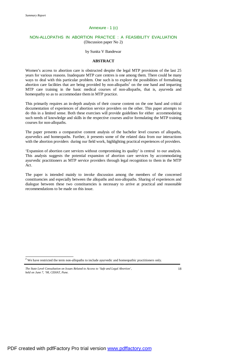#### Annexure - 1 (c)

#### NON-ALLOPATHS IN ABORTION PRACTICE : A FEASIBILITY EVALUATION (Discussion paper No 2)

#### by Sunita V Bandewar

#### **ABSTRACT**

Women's access to abortion care is obstructed despite the legal MTP provisions of the last 25 years for various reasons. Inadequate MTP care centres is one among them. There could be many ways to deal with this particular problem. One such is to explore the possibilities of formalising abortion care facilities that are being provided by non-allopaths<sup>2</sup> on the one hand and imparting MTP care training in the basic medical courses of non-allopaths, that is, ayurveda and homeopathy so as to accommodate them in MTP practice.

This primarily requires an in-depth analysis of their course content on the one hand and critical documentation of experiences of abortion service providers on the other. This paper attempts to do this in a limited sense. Both these exercises will provide guidelines for either accommodating such needs of knowledge and skills in the respective courses and/or formulating the MTP training courses for non-allopaths.

The paper presents a comparative content analysis of the bachelor level courses of allopaths, ayurvedics and homeopaths. Further, it presents some of the related data from our interactions with the abortion providers during our field work, highlighting practical experiences of providers.

'Expansion of abortion care services without compromising its quality' is central to our analysis. This analysis suggests the potential expansion of abortion care services by accommodating ayurvedic practitioners as MTP service providers through legal recognition to them in the MTP Act.

The paper is intended mainly to invoke discussion among the members of the concerned constituencies and especially between the allopaths and non-allopaths. Sharing of experiences and dialogue between these two constituencies is necessary to arrive at practical and reasonable recommendations to be made on this issue.

j

 $2^2$  We have restricted the term non-allopaths to include ayurvedic and homeopathic practitioners only.

*The State Level Consultation on Issues Related to Access to 'Safe and Legal Abortion', held on June 7, '98, CEHAT, Pune.*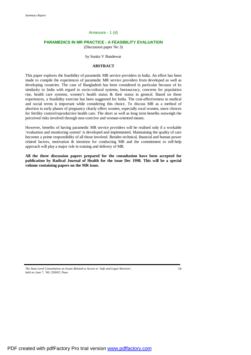# Annexure - 1 (d)

# **PARAMEDICS IN MR PRACTICE : A FEASIBILITY EVALUATION**

(Discussion paper No 3)

#### by Sunita V Bandewar

#### **ABSTRACT**

This paper explores the feasibility of paramedic MR service providers in India. An effort has been made to compile the experiences of paramedic MR service providers from developed as well as developing countries. The case of Bangladesh has been considered in particular because of its similarity to India with regard to socio-cultural systems, bureaucracy, concerns for population rise, health care systems, women's health status & their status in general. Based on these experiences, a feasibility exercise has been suggested for India. The cost-effectiveness in medical and social terms is important while considering this choice. To discuss MR as a method of abortion in early phases of pregnancy clearly offers women, especially rural women, more choices for fertility control/reproductive health care. The short as well as long term benefits outweigh the perceived risks involved through non-coercive and woman-oriented means.

However, benefits of having paramedic MR service providers will be realised only if a workable 'evaluation and monitoring system' is developed and implemented. Maintaining the quality of care becomes a prime responsibility of all those involved. Besides technical, financial and human power related factors, motivation & intention for conducting MR and the commitment to self-help approach will play a major role in training and delivery of MR.

**All the three discussion papers prepared for the consultation have been accepted for publication by Radical Journal of Health for the issue Dec 1998. This will be a special volume containing papers on the MR issue.** 

*The State Level Consultation on Issues Related to Access to 'Safe and Legal Abortion', held on June 7, '98, CEHAT, Pune.*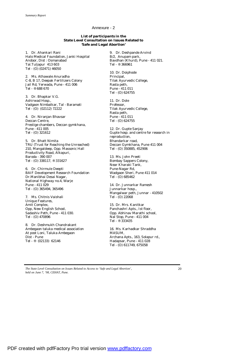#### Annexure - 2

**List of participants in the State Level Consultation on Issues Related to 'Safe and Legal Abortion'** 

1. Dr. Ahankari Rani Halo Medical Foundation, Janki Hospital Andoor, Dist : Osmanabad Tal.Tuljapur 413 603 Tel - (O) (02471) 46050

2. Ms. Athawale Anuradha C-8, B 17, Deepak Fertilizers Colony Jail Rd, Yerwada, Pune - 411 006 Tel - ® 688 670

3. Dr. Bhapkar V.G. Ashirwad Hosp., Vadgaon Nimbalkar, Tal - Baramati Tel - (O) (02112) 72222

4. Dr. Niranjan Bhavsar Deccan Centre, Prestige chambers, Deccan gymkhana, Pune - 411 005 Tel - (O) 321612

5. Dr. Bhatt Nimita TRU (Trust for Reaching the Unreached) 210, Mangaldeep, Opp. Massonic Hall Productivity Road, Alkapuri, Baroda - 390 007 Tel - (O) 338117, ® 331627

6. Dr. Chirmule Deepti BAIF Development Research Foundation Dr.Manibhai Desai Nagar, National Highway no.4, Warje Pune - 411 029 Tel - (O) 365494, 365496

7. Ms. Chitnis Vaishali Unique Features, Amit Complex, Opp, New English School, Sadashiv Peth, Pune - 411 030. Tel - (O) 470896

8. Dr. Deshmukh Chandrakant Ambegaon taluka medical association At post Loni, Taluka Ambegaon Dist - Pune Tel - ® (02133) 62146

9. Dr. Deshpande Arvind B/2, Anupam park, Bavdhan (Khurd), Pune - 411 021. Tel - ® 366961

10. Dr. Doiphode Principal, Tilak Ayurvedic College, Rasta peth, Pune - 411 011 Tel - (O) 624755

11. Dr. Dole Professor, Tilak Ayurvedic College, Rasta peth, Pune - 411 011 Tel - (O) 624755

12. Dr. Gupte Sanjay Gupte hosp. and centre for research in reproduction, Bhandarkar road, Deccan Gymkhana, Pune 411 004 Tel - (O) 350885, 452906

13. Ms. John Preeti Bombay Sappers Colony, Near Kharaki Tank, Pune-Nagar Rd, Wadgaon Sheri, Pune 411 014 Tel - (O) 685462

14. Dr. Junnarkar Ramesh Junnarkar hosp., Mangalwar peth, Junnar - 410502 Tel - (O) 22068

15. Dr. Mrs. Kanitkar Panchashri Apts., Ist floor, Opp. Abhinav Marathi school, Nal Stop, Pune - 411 004 Tel - ® 333435

16. Ms. Karhadkar Shraddha MASUM, Archana Apts., 163, Solapur rd., Hadapsar, Pune - 411 028 Tel - (O) 611749, 675058

*The State Level Consultation on Issues Related to Access to 'Safe and Legal Abortion', held on June 7, '98, CEHAT, Pune.*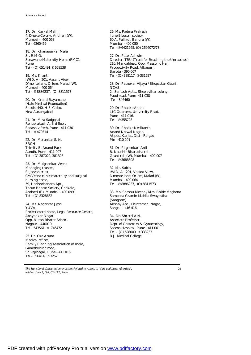17. Dr. Karkal Malini 4, Dhake Colony, Andheri (W), Mumbai - 400 053 Tel - 6360469

18. Dr. Khanapurkar Mala Sr. R.M.O. Sonawane Maternity Home (PMC), Pune Tel - (O) 651491 ® 659538

19. Ms. Kranti IWID, A - 201, Vasant View, D'monte lane, Orlem, Malad (W), Mumbai - 400 064 Tel - ® 8886237, (O) 8811573

20. Dr. Kranti Rayamane (Halo Medical Foundation) Shodh, 440, H-3, Cidco, New Aurangabad

21. Dr. Mira Sadgopal Renuprakash A, 3rd floor, Sadashiv Peth, Pune - 411 030 Tel - ® 470314

22. Dr. Morankar S. N. FRCH Trimity B, Anand Park Aundh, Pune - 411 007 Tel - (O) 387020, 381308

23. Dr. Mulgaonkar Veena Managing trustee, Sujeevan trust, C/o Veena clinic maternity and surgical nursing home, 59, Harishchandra Apt., Tarun Bharat Society, Chakala, Andheri (E) Mumbai - 400 099, Tel - (O) 8328682

24. Ms. Nagarkar Jyoti YUVA, Project coordinator, Legal Resource Centre, Abhyankar Nagar, Opp. Nutan Bharat School, Nagpur - 440010 Tel - 543561 ® 746472

25. Dr. Oza Aruna Medical officer, Family Planning Association of India, Ganeshkhind road, Shivajinagar, Pune - 411 016. Tel - 356414, 353257

26. Ms. Padma Prakash June Blossom society, 60 A, Pali rd., Bandra (W), Mumbai - 400 050 Tel - ® 6421265, (O) 2696072/73

27. Dr. Patel Ashwin Director, TRU (Trust for Reaching the Unreached) 210, Mangaldeep, Opp. Massonic Hall Productivity Road, Alkapuri, Baroda - 390 007 Tel - (O) 338117, ® 331627

28. Dr. Patnekar Vijaya / Bhopatkar Gauri NCAS, 2, Santosh Apts., Sheelavihar colony, Paud road, Pune -411 038 Tel - 346460

29. Dr. Phadke Anant LIC Quarters, University Road, Pune - 411 016. Tel - ® 355728

30. Dr. Phadke Neelkanth Anand Kotwal Nagar, At post Karjat, Dist - Raigad Pin - 410 201

31. Dr. Pilgaonkar Anil B, Naushir Bharucha rd., Grant rd., (W), Mumbai - 400 007 Tel - ® 3688608

32. Ms. Sabla IWID, A - 201, Vasant View, D'monte lane, Orlem, Malad (W), Mumbai - 400 064 Tel - ® 8886237, (O) 8811573

33. Ms. Sheshu Meena / Mrs. Bhide Meghana Sampada Gramin Mahila Swayastha (Sangram) Akshay Apt., Chintamani Nagar, Sangali - 416 416

34. Dr. Shrotri A.N. Associate Professor, Dept. of Obstetrics & Gynaecology, Sasoon Hospital, Pune - 411 001 Tel - (O) 628000 ® 333233 B.J. Medical College

*The State Level Consultation on Issues Related to Access to 'Safe and Legal Abortion', held on June 7, '98, CEHAT, Pune.*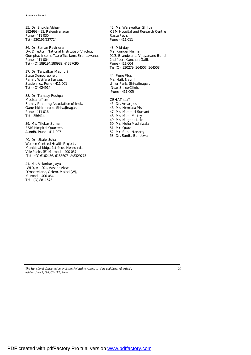35. Dr. Shukla Abhay 992/993 - 23, Rajendranagar, Pune - 411 030 Tel - 530196/537724

36. Dr. Soman Ravindra Dy. Director, National Institute of Virology Gumpha, Income Tax office lane, Erandawana, Pune - 411 004 Tel - (O) 389194,380982, ® 337095

37. Dr. Talwalkar Madhuri State Demographer, Family Welfare Bureau, Station rd., Pune - 411 001 Tel - (O) 624914

38. Dr. Tambay Pushpa Medical officer, Family Planning Association of India Ganeshkhind road, Shivajinagar, Pune - 411 016 Tel - 356414

39. Ms. Tilekar Suman ESIS Hospital Quarters Aundh, Pune - 411 007

40. Dr. Ubale Usha Women Centred Health Project , Municipal bldg., 1st floor, Nehru rd., Vile Parle, (E),Mumbai - 400 057 Tel - (O) 6162436, 6186607 ® 8329773

41. Ms. Velankar Jaya IWID, A - 201, Vasant View, D'monte lane, Orlem, Malad (W), Mumbai - 400 064 Tel - (O) 8811573

42. Ms. Walawalkar Shilpa KEM Hospital and Research Centre Rasta Peth, Pune - 411 011

43. Mid-day Ms. Kunder Nirjhar 92/3, Erandwana, Vijayanand Build., 2nd floor, Kanchan Galli, Pune - 411 004 Tel (O) 330279, 364507, 364508

44. Pune Plus Ms. Naik Navmi Umer Park, Shivajinagar, Near Shree Clinic, Pune - 411 005

CEHAT staff - 45. Dr. Amar Jesani 46. Ms. Hemlata Pisal 47. Ms. Madhuri Sumant 48. Ms. Mani Mistry 49. Ms. Mugdha Lele 50. Ms. Neha Madhiwala 51. Mr. Quazi 52. Mr. Sunil Nandraj 53. Dr. Sunita Bandewar

*The State Level Consultation on Issues Related to Access to 'Safe and Legal Abortion', held on June 7, '98, CEHAT, Pune.*